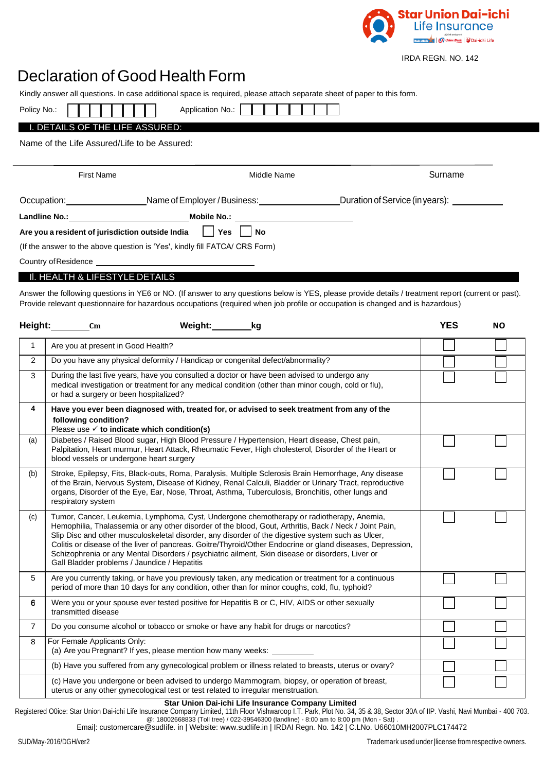

## Declaration of Good Health Form

Kindly answer all questions. In case additional space is required, please attach separate sheet of paper to this form.

| Policy No.:                                                                   |                                                                                 | Application No.:                                                                                                                                                                                                                   |             |                                                                                                                                                                                                                                                                                       |            |           |
|-------------------------------------------------------------------------------|---------------------------------------------------------------------------------|------------------------------------------------------------------------------------------------------------------------------------------------------------------------------------------------------------------------------------|-------------|---------------------------------------------------------------------------------------------------------------------------------------------------------------------------------------------------------------------------------------------------------------------------------------|------------|-----------|
|                                                                               | I. DETAILS OF THE LIFE ASSURED:                                                 |                                                                                                                                                                                                                                    |             |                                                                                                                                                                                                                                                                                       |            |           |
|                                                                               | Name of the Life Assured/Life to be Assured:                                    |                                                                                                                                                                                                                                    |             |                                                                                                                                                                                                                                                                                       |            |           |
| <b>First Name</b>                                                             |                                                                                 |                                                                                                                                                                                                                                    | Middle Name |                                                                                                                                                                                                                                                                                       | Surname    |           |
| Occupation: Name of Employer / Business: Duration of Service (in years): 2014 |                                                                                 |                                                                                                                                                                                                                                    |             |                                                                                                                                                                                                                                                                                       |            |           |
|                                                                               |                                                                                 |                                                                                                                                                                                                                                    |             |                                                                                                                                                                                                                                                                                       |            |           |
|                                                                               |                                                                                 | Are you a resident of jurisdiction outside India $  $ Yes $  $ No                                                                                                                                                                  |             |                                                                                                                                                                                                                                                                                       |            |           |
|                                                                               |                                                                                 | (If the answer to the above question is 'Yes', kindly fill FATCA/ CRS Form)                                                                                                                                                        |             |                                                                                                                                                                                                                                                                                       |            |           |
|                                                                               |                                                                                 | Country of Residence <u>experience</u> and the set of the set of the set of the set of the set of the set of the set of the set of the set of the set of the set of the set of the set of the set of the set of the set of the set |             |                                                                                                                                                                                                                                                                                       |            |           |
|                                                                               | <b>II. HEALTH &amp; LIFESTYLE DETAILS</b>                                       |                                                                                                                                                                                                                                    |             |                                                                                                                                                                                                                                                                                       |            |           |
|                                                                               |                                                                                 |                                                                                                                                                                                                                                    |             | Answer the following questions in YE6 or NO. (If answer to any questions below is YES, please provide details / treatment report (current or past).<br>Provide relevant questionnaire for hazardous occupations (required when job profile or occupation is changed and is hazardous) |            |           |
|                                                                               | Height:____________Cm                                                           | Weight: kg                                                                                                                                                                                                                         |             |                                                                                                                                                                                                                                                                                       | <b>YES</b> | <b>NO</b> |
| $\mathbf{1}$                                                                  | Are you at present in Good Health?                                              |                                                                                                                                                                                                                                    |             |                                                                                                                                                                                                                                                                                       |            |           |
| $\overline{2}$                                                                | Do you have any physical deformity / Handicap or congenital defect/abnormality? |                                                                                                                                                                                                                                    |             |                                                                                                                                                                                                                                                                                       |            |           |
| 3                                                                             | or had a surgery or been hospitalized?                                          | During the last five years, have you consulted a doctor or have been advised to undergo any<br>medical investigation or treatment for any medical condition (other than minor cough, cold or flu),                                 |             |                                                                                                                                                                                                                                                                                       |            |           |

| Height:<br>$\mathbf{cm}$<br>weignt:<br>κg |                                                                                                                                                                                                                                                                                                                                                                                                                                                                                                                                                                           |  | NΟ |
|-------------------------------------------|---------------------------------------------------------------------------------------------------------------------------------------------------------------------------------------------------------------------------------------------------------------------------------------------------------------------------------------------------------------------------------------------------------------------------------------------------------------------------------------------------------------------------------------------------------------------------|--|----|
| $\mathbf{1}$                              | Are you at present in Good Health?                                                                                                                                                                                                                                                                                                                                                                                                                                                                                                                                        |  |    |
| 2                                         | Do you have any physical deformity / Handicap or congenital defect/abnormality?                                                                                                                                                                                                                                                                                                                                                                                                                                                                                           |  |    |
| 3                                         | During the last five years, have you consulted a doctor or have been advised to undergo any<br>medical investigation or treatment for any medical condition (other than minor cough, cold or flu),<br>or had a surgery or been hospitalized?                                                                                                                                                                                                                                                                                                                              |  |    |
| 4                                         | Have you ever been diagnosed with, treated for, or advised to seek treatment from any of the<br>following condition?<br>Please use $\checkmark$ to indicate which condition(s)                                                                                                                                                                                                                                                                                                                                                                                            |  |    |
| (a)                                       | Diabetes / Raised Blood sugar, High Blood Pressure / Hypertension, Heart disease, Chest pain,<br>Palpitation, Heart murmur, Heart Attack, Rheumatic Fever, High cholesterol, Disorder of the Heart or<br>blood vessels or undergone heart surgery                                                                                                                                                                                                                                                                                                                         |  |    |
| (b)                                       | Stroke, Epilepsy, Fits, Black-outs, Roma, Paralysis, Multiple Sclerosis Brain Hemorrhage, Any disease<br>of the Brain, Nervous System, Disease of Kidney, Renal Calculi, Bladder or Urinary Tract, reproductive<br>organs, Disorder of the Eye, Ear, Nose, Throat, Asthma, Tuberculosis, Bronchitis, other lungs and<br>respiratory system                                                                                                                                                                                                                                |  |    |
| (c)                                       | Tumor, Cancer, Leukemia, Lymphoma, Cyst, Undergone chemotherapy or radiotherapy, Anemia,<br>Hemophilia, Thalassemia or any other disorder of the blood, Gout, Arthritis, Back / Neck / Joint Pain,<br>Slip Disc and other musculoskeletal disorder, any disorder of the digestive system such as Ulcer,<br>Colitis or disease of the liver of pancreas. Goitre/Thyroid/Other Endocrine or gland diseases, Depression,<br>Schizophrenia or any Mental Disorders / psychiatric ailment, Skin disease or disorders, Liver or<br>Gall Bladder problems / Jaundice / Hepatitis |  |    |
| 5                                         | Are you currently taking, or have you previously taken, any medication or treatment for a continuous<br>period of more than 10 days for any condition, other than for minor coughs, cold, flu, typhoid?                                                                                                                                                                                                                                                                                                                                                                   |  |    |
| 6                                         | Were you or your spouse ever tested positive for Hepatitis B or C, HIV, AIDS or other sexually<br>transmitted disease                                                                                                                                                                                                                                                                                                                                                                                                                                                     |  |    |
| $\overline{7}$                            | Do you consume alcohol or tobacco or smoke or have any habit for drugs or narcotics?                                                                                                                                                                                                                                                                                                                                                                                                                                                                                      |  |    |
| 8                                         | For Female Applicants Only:<br>(a) Are you Pregnant? If yes, please mention how many weeks: ___                                                                                                                                                                                                                                                                                                                                                                                                                                                                           |  |    |
|                                           | (b) Have you suffered from any gynecological problem or illness related to breasts, uterus or ovary?                                                                                                                                                                                                                                                                                                                                                                                                                                                                      |  |    |
|                                           | (c) Have you undergone or been advised to undergo Mammogram, biopsy, or operation of breast,<br>uterus or any other gynecological test or test related to irregular menstruation.                                                                                                                                                                                                                                                                                                                                                                                         |  |    |

## **Star Union Dai-ichi Life Insurance Company Limited**

Registered O0ice: Star Union Dai-ichi Life Insurance Company Limited, 11th Floor Vishwaroop I.T. Park, Plot No. 34, 35 & 38, Sector 30A of IIP. Vashi, Navi Mumbai - 400 703.<br>©: 18002668833 (Toll tree) / 022-39546300 (landl

Emai|: customercare@sudIife. in | Website[: www.sudIife.in](http://www.sudiife.in/) | IRDAI Regn. No. 142 | C.LNo. U66010MH2007PLC174472